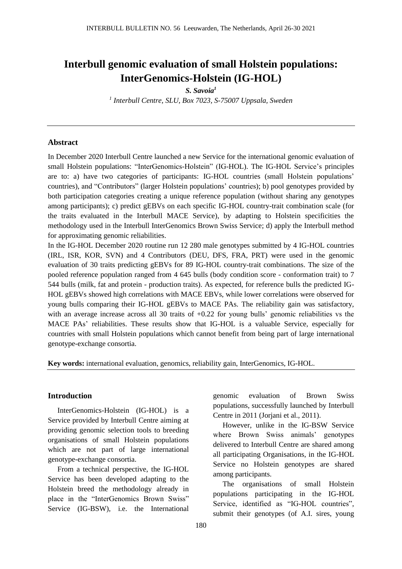# **Interbull genomic evaluation of small Holstein populations: InterGenomics-Holstein (IG-HOL)**

*S. Savoia<sup>1</sup>*

*1 Interbull Centre, SLU, Box 7023, S-75007 Uppsala, Sweden*

#### **Abstract**

In December 2020 Interbull Centre launched a new Service for the international genomic evaluation of small Holstein populations: "InterGenomics-Holstein" (IG-HOL). The IG-HOL Service's principles are to: a) have two categories of participants: IG-HOL countries (small Holstein populations' countries), and "Contributors" (larger Holstein populations' countries); b) pool genotypes provided by both participation categories creating a unique reference population (without sharing any genotypes among participants); c) predict gEBVs on each specific IG-HOL country-trait combination scale (for the traits evaluated in the Interbull MACE Service), by adapting to Holstein specificities the methodology used in the Interbull InterGenomics Brown Swiss Service; d) apply the Interbull method for approximating genomic reliabilities.

In the IG-HOL December 2020 routine run 12 280 male genotypes submitted by 4 IG-HOL countries (IRL, ISR, KOR, SVN) and 4 Contributors (DEU, DFS, FRA, PRT) were used in the genomic evaluation of 30 traits predicting gEBVs for 89 IG-HOL country-trait combinations. The size of the pooled reference population ranged from 4 645 bulls (body condition score - conformation trait) to 7 544 bulls (milk, fat and protein - production traits). As expected, for reference bulls the predicted IG-HOL gEBVs showed high correlations with MACE EBVs, while lower correlations were observed for young bulls comparing their IG-HOL gEBVs to MACE PAs. The reliability gain was satisfactory, with an average increase across all 30 traits of  $+0.22$  for young bulls' genomic reliabilities vs the MACE PAs' reliabilities. These results show that IG-HOL is a valuable Service, especially for countries with small Holstein populations which cannot benefit from being part of large international genotype-exchange consortia.

**Key words:** international evaluation, genomics, reliability gain, InterGenomics, IG-HOL.

### **Introduction**

InterGenomics-Holstein (IG-HOL) is a Service provided by Interbull Centre aiming at providing genomic selection tools to breeding organisations of small Holstein populations which are not part of large international genotype-exchange consortia.

From a technical perspective, the IG-HOL Service has been developed adapting to the Holstein breed the methodology already in place in the "InterGenomics Brown Swiss" Service (IG-BSW), i.e. the International

genomic evaluation of Brown Swiss populations, successfully launched by Interbull Centre in 2011 (Jorjani et al., 2011).

However, unlike in the IG-BSW Service where Brown Swiss animals' genotypes delivered to Interbull Centre are shared among all participating Organisations, in the IG-HOL Service no Holstein genotypes are shared among participants.

The organisations of small Holstein populations participating in the IG-HOL Service, identified as "IG-HOL countries", submit their genotypes (of A.I. sires, young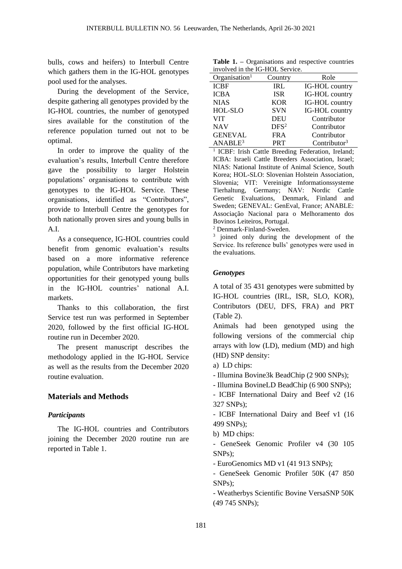bulls, cows and heifers) to Interbull Centre which gathers them in the IG-HOL genotypes pool used for the analyses.

During the development of the Service, despite gathering all genotypes provided by the IG-HOL countries, the number of genotyped sires available for the constitution of the reference population turned out not to be optimal.

In order to improve the quality of the evaluation's results, Interbull Centre therefore gave the possibility to larger Holstein populations' organisations to contribute with genotypes to the IG-HOL Service. These organisations, identified as "Contributors", provide to Interbull Centre the genotypes for both nationally proven sires and young bulls in A.I.

As a consequence, IG-HOL countries could benefit from genomic evaluation's results based on a more informative reference population, while Contributors have marketing opportunities for their genotyped young bulls in the IG-HOL countries' national A.I. markets.

Thanks to this collaboration, the first Service test run was performed in September 2020, followed by the first official IG-HOL routine run in December 2020.

The present manuscript describes the methodology applied in the IG-HOL Service as well as the results from the December 2020 routine evaluation.

## **Materials and Methods**

## *Participants*

The IG-HOL countries and Contributors joining the December 2020 routine run are reported in Table 1.

**Table 1. –** Organisations and respective countries involved in the IG-HOL Service.

| mvorved in the IQ-HOL Service. |                  |                 |  |  |  |
|--------------------------------|------------------|-----------------|--|--|--|
| Organisation <sup>1</sup>      | Country          | Role            |  |  |  |
| <b>ICBF</b>                    | <b>IRL</b>       | IG-HOL country  |  |  |  |
| <b>ICBA</b>                    | <b>ISR</b>       | IG-HOL country  |  |  |  |
| <b>NIAS</b>                    | <b>KOR</b>       | IG-HOL country  |  |  |  |
| HOL-SLO                        | <b>SVN</b>       | IG-HOL country  |  |  |  |
| <b>VIT</b>                     | <b>DEU</b>       | Contributor     |  |  |  |
| <b>NAV</b>                     | DFS <sup>2</sup> | Contributor     |  |  |  |
| <b>GENEVAL</b>                 | <b>FRA</b>       | Contributor     |  |  |  |
| ANABLE <sup>3</sup>            | <b>PRT</b>       | Contributor $3$ |  |  |  |

<sup>1</sup> ICBF: Irish Cattle Breeding Federation, Ireland; ICBA: Israeli Cattle Breeders Association, Israel; NIAS: National Institute of Animal Science, South Korea; HOL-SLO: Slovenian Holstein Association, Slovenia; VIT: Vereinigte Informationssysteme Tierhaltung, Germany; NAV: Nordic Cattle Genetic Evaluations, Denmark, Finland and Sweden; GENEVAL: GenEval, France; ANABLE: Associação Nacional para o Melhoramento dos Bovinos Leiteiros, Portugal.

<sup>2</sup> Denmark-Finland-Sweden.

<sup>3</sup> joined only during the development of the Service. Its reference bulls' genotypes were used in the evaluations.

## *Genotypes*

A total of 35 431 genotypes were submitted by IG-HOL countries (IRL, ISR, SLO, KOR), Contributors (DEU, DFS, FRA) and PRT (Table 2).

Animals had been genotyped using the following versions of the commercial chip arrays with low (LD), medium (MD) and high (HD) SNP density:

- a) LD chips:
- Illumina Bovine3k BeadChip (2 900 SNPs);
- Illumina BovineLD BeadChip (6 900 SNPs);
- ICBF International Dairy and Beef v2 (16 327 SNPs);

- ICBF International Dairy and Beef v1 (16 499 SNPs);

b) MD chips:

- GeneSeek Genomic Profiler v4 (30 105 SNPs);

- EuroGenomics MD v1 (41 913 SNPs);
- GeneSeek Genomic Profiler 50K (47 850 SNPs);
- Weatherbys Scientific Bovine VersaSNP 50K (49 745 SNPs);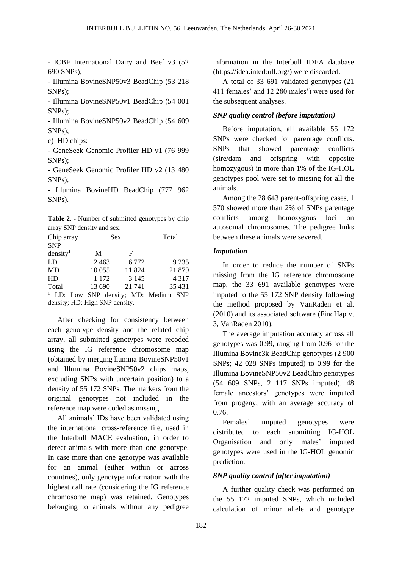- ICBF International Dairy and Beef v3 (52 690 SNPs);

- Illumina BovineSNP50v3 BeadChip (53 218 SNPs);

- Illumina BovineSNP50v1 BeadChip (54 001 SNPs);

- Illumina BovineSNP50v2 BeadChip (54 609 SNPs);

c) HD chips:

- GeneSeek Genomic Profiler HD v1 (76 999 SNPs);

- GeneSeek Genomic Profiler HD v2 (13 480 SNPs);

- Illumina BovineHD BeadChip (777 962 SNPs).

**Table 2. -** Number of submitted genotypes by chip array SNP density and sex.

| Chip array           | Sex                    |         | Total   |  |
|----------------------|------------------------|---------|---------|--|
| <b>SNP</b>           |                        |         |         |  |
| density <sup>1</sup> | M                      | F       |         |  |
| LD                   | 2463                   | 6 7 7 2 | 9 2 3 5 |  |
| MD                   | 10 0 55                | 11824   | 21 879  |  |
| HD                   | 1 1 7 2                | 3 1 4 5 | 4 3 1 7 |  |
| Total                | 13 690                 | 21 741  | 35 4 31 |  |
| ID.<br>I             | CMD denoity MD. Modium |         | CND     |  |

LD: Low SNP density; MD: Medium SNF density; HD: High SNP density.

After checking for consistency between each genotype density and the related chip array, all submitted genotypes were recoded using the IG reference chromosome map (obtained by merging llumina BovineSNP50v1 and Illumina BovineSNP50v2 chips maps, excluding SNPs with uncertain position) to a density of 55 172 SNPs. The markers from the original genotypes not included in the reference map were coded as missing.

All animals' IDs have been validated using the international cross-reference file, used in the Interbull MACE evaluation, in order to detect animals with more than one genotype. In case more than one genotype was available for an animal (either within or across countries), only genotype information with the highest call rate (considering the IG reference chromosome map) was retained. Genotypes belonging to animals without any pedigree

information in the Interbull IDEA database (https://idea.interbull.org/) were discarded.

A total of 33 691 validated genotypes (21 411 females' and 12 280 males') were used for the subsequent analyses.

### *SNP quality control (before imputation)*

Before imputation, all available 55 172 SNPs were checked for parentage conflicts. SNPs that showed parentage conflicts (sire/dam and offspring with opposite homozygous) in more than 1% of the IG-HOL genotypes pool were set to missing for all the animals.

Among the 28 643 parent-offspring cases, 1 570 showed more than 2% of SNPs parentage conflicts among homozygous loci on autosomal chromosomes. The pedigree links between these animals were severed.

#### *Imputation*

In order to reduce the number of SNPs missing from the IG reference chromosome map, the 33 691 available genotypes were imputed to the 55 172 SNP density following the method proposed by VanRaden et al. (2010) and its associated software (FindHap v. 3, VanRaden 2010).

The average imputation accuracy across all genotypes was 0.99, ranging from 0.96 for the Illumina Bovine3k BeadChip genotypes (2 900 SNPs; 42 028 SNPs imputed) to 0.99 for the Illumina BovineSNP50v2 BeadChip genotypes (54 609 SNPs, 2 117 SNPs imputed). 48 female ancestors' genotypes were imputed from progeny, with an average accuracy of 0.76.

Females' imputed genotypes were distributed to each submitting IG-HOL Organisation and only males' imputed genotypes were used in the IG-HOL genomic prediction.

#### *SNP quality control (after imputation)*

A further quality check was performed on the 55 172 imputed SNPs, which included calculation of minor allele and genotype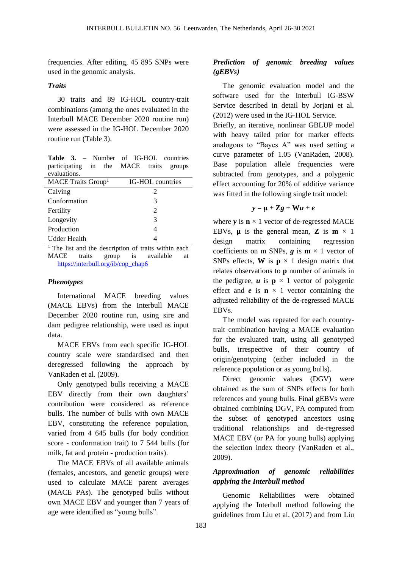frequencies. After editing, 45 895 SNPs were used in the genomic analysis.

## *Traits*

30 traits and 89 IG-HOL country-trait combinations (among the ones evaluated in the Interbull MACE December 2020 routine run) were assessed in the IG-HOL December 2020 routine run (Table 3).

**Table 3. –** Number of IG-HOL countries participating in the MACE traits groups evaluations.

| MACE Traits Group <sup>1</sup> | IG-HOL countries |  |  |  |
|--------------------------------|------------------|--|--|--|
| Calving                        | 2                |  |  |  |
| Conformation                   | 3                |  |  |  |
| Fertility                      | 2                |  |  |  |
| Longevity                      | 3                |  |  |  |
| Production                     |                  |  |  |  |
| Udder Health                   |                  |  |  |  |

 $<sup>1</sup>$  The list and the description of traits within each</sup> MACE traits group is available at [https://interbull.org/ib/cop\\_chap6](https://interbull.org/ib/cop_chap6)

#### *Phenotypes*

International MACE breeding values (MACE EBVs) from the Interbull MACE December 2020 routine run, using sire and dam pedigree relationship, were used as input data.

MACE EBVs from each specific IG-HOL country scale were standardised and then deregressed following the approach by VanRaden et al. (2009).

Only genotyped bulls receiving a MACE EBV directly from their own daughters' contribution were considered as reference bulls. The number of bulls with own MACE EBV, constituting the reference population, varied from 4 645 bulls (for body condition score - conformation trait) to 7 544 bulls (for milk, fat and protein - production traits).

The MACE EBVs of all available animals (females, ancestors, and genetic groups) were used to calculate MACE parent averages (MACE PAs). The genotyped bulls without own MACE EBV and younger than 7 years of age were identified as "young bulls".

# *Prediction of genomic breeding values (gEBVs)*

The genomic evaluation model and the software used for the Interbull IG-BSW Service described in detail by Jorjani et al. (2012) were used in the IG-HOL Service.

Briefly, an iterative, nonlinear GBLUP model with heavy tailed prior for marker effects analogous to "Bayes A" was used setting a curve parameter of 1.05 (VanRaden, 2008). Base population allele frequencies were subtracted from genotypes, and a polygenic effect accounting for 20% of additive variance was fitted in the following single trait model:

$$
y = \mu + Zg + Wu + e
$$

where  $v$  is  $n \times 1$  vector of de-regressed MACE EBVs,  $\mu$  is the general mean, **Z** is  $m \times 1$ design matrix containing regression coefficients on m SNPs,  $g$  is  $m \times 1$  vector of SNPs effects, **W** is  $p \times 1$  design matrix that relates observations to **p** number of animals in the pedigree,  $\boldsymbol{u}$  is  $\boldsymbol{p} \times 1$  vector of polygenic effect and  $e$  is  $\mathbf{n} \times 1$  vector containing the adjusted reliability of the de-regressed MACE EBVs.

The model was repeated for each countrytrait combination having a MACE evaluation for the evaluated trait, using all genotyped bulls, irrespective of their country of origin/genotyping (either included in the reference population or as young bulls).

Direct genomic values (DGV) were obtained as the sum of SNPs effects for both references and young bulls. Final gEBVs were obtained combining DGV, PA computed from the subset of genotyped ancestors using traditional relationships and de-regressed MACE EBV (or PA for young bulls) applying the selection index theory (VanRaden et al., 2009).

## *Approximation of genomic reliabilities applying the Interbull method*

Genomic Reliabilities were obtained applying the Interbull method following the guidelines from Liu et al. (2017) and from Liu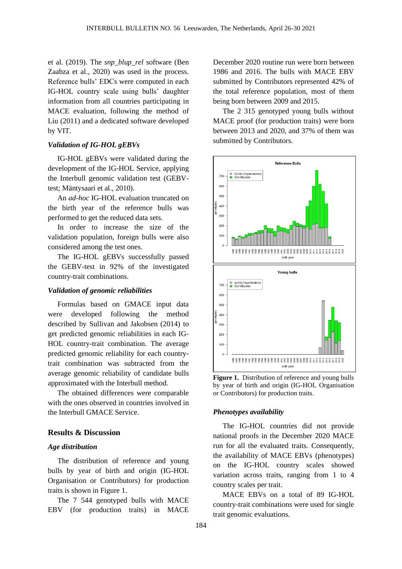et al. (2019). The *snp\_blup\_rel* software (Ben Zaabza et al., 2020) was used in the process. Reference bulls' EDCs were computed in each IG-HOL country scale using bulls' daughter information from all countries participating in MACE evaluation, following the method of Liu (2011) and a dedicated software developed by VIT.

## *Validation of IG-HOL gEBVs*

IG-HOL gEBVs were validated during the development of the IG-HOL Service, applying the Interbull genomic validation test (GEBVtest; Mäntysaari et al., 2010).

An *ad-hoc* IG-HOL evaluation truncated on the birth year of the reference bulls was performed to get the reduced data sets.

In order to increase the size of the validation population, foreign bulls were also considered among the test ones.

The IG-HOL gEBVs successfully passed the GEBV-test in 92% of the investigated country-trait combinations.

#### *Validation of genomic reliabilities*

Formulas based on GMACE input data were developed following the method described by Sullivan and Jakobsen (2014) to get predicted genomic reliabilities in each IG-HOL country-trait combination. The average predicted genomic reliability for each countrytrait combination was subtracted from the average genomic reliability of candidate bulls approximated with the Interbull method.

The obtained differences were comparable with the ones observed in countries involved in the Interbull GMACE Service.

## **Results & Discussion**

#### *Age distribution*

The distribution of reference and young bulls by year of birth and origin (IG-HOL Organisation or Contributors) for production traits is shown in Figure 1.

The 7 544 genotyped bulls with MACE EBV (for production traits) in MACE

December 2020 routine run were born between 1986 and 2016. The bulls with MACE EBV submitted by Contributors represented 42% of the total reference population, most of them being born between 2009 and 2015.

The 2 315 genotyped young bulls without MACE proof (for production traits) were born between 2013 and 2020, and 37% of them was submitted by Contributors.



**Figure 1.** Distribution of reference and young bulls by year of birth and origin (IG-HOL Organisation or Contributors) for production traits.

#### *Phenotypes availability*

The IG-HOL countries did not provide national proofs in the December 2020 MACE run for all the evaluated traits. Consequently, the availability of MACE EBVs (phenotypes) on the IG-HOL country scales showed variation across traits, ranging from 1 to 4 country scales per trait.

MACE EBVs on a total of 89 IG-HOL country-trait combinations were used for single trait genomic evaluations.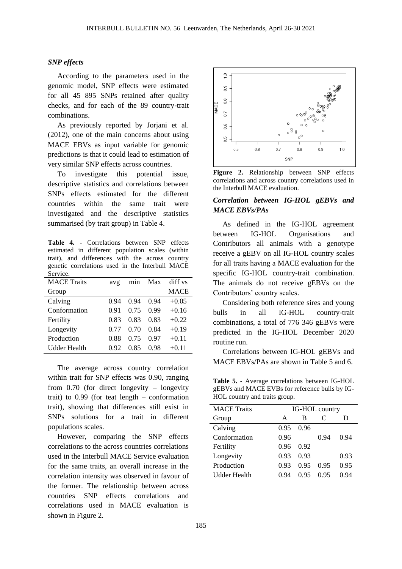#### *SNP effects*

According to the parameters used in the genomic model, SNP effects were estimated for all 45 895 SNPs retained after quality checks, and for each of the 89 country-trait combinations.

As previously reported by Jorjani et al. (2012), one of the main concerns about using MACE EBVs as input variable for genomic predictions is that it could lead to estimation of very similar SNP effects across countries.

To investigate this potential issue, descriptive statistics and correlations between SNPs effects estimated for the different countries within the same trait were investigated and the descriptive statistics summarised (by trait group) in Table 4.

**Table 4. -** Correlations between SNP effects estimated in different population scales (within trait), and differences with the across country genetic correlations used in the Interbull MACE Service.

| <b>MACE Traits</b> | avg  | min  | Max  | diff vs     |
|--------------------|------|------|------|-------------|
| Group              |      |      |      | <b>MACE</b> |
| Calving            | 0.94 | 0.94 | 0.94 | $+0.05$     |
| Conformation       | 0.91 | 0.75 | 0.99 | $+0.16$     |
| Fertility          | 0.83 | 0.83 | 0.83 | $+0.22$     |
| Longevity          | 0.77 | 0.70 | 0.84 | $+0.19$     |
| Production         | 0.88 | 0.75 | 0 97 | $+0.11$     |
| Udder Health       | 0.92 | 0.85 | 0.98 | $+0.11$     |

The average across country correlation within trait for SNP effects was 0.90, ranging from 0.70 (for direct longevity – longevity trait) to 0.99 (for teat length – conformation trait), showing that differences still exist in SNPs solutions for a trait in different populations scales.

However, comparing the SNP effects correlations to the across countries correlations used in the Interbull MACE Service evaluation for the same traits, an overall increase in the correlation intensity was observed in favour of the former. The relationship between across countries SNP effects correlations and correlations used in MACE evaluation is shown in Figure 2.



**Figure 2.** Relationship between SNP effects correlations and across country correlations used in the Interbull MACE evaluation.

## *Correlation between IG-HOL gEBVs and MACE EBVs/PAs*

As defined in the IG-HOL agreement between IG-HOL Organisations and Contributors all animals with a genotype receive a gEBV on all IG-HOL country scales for all traits having a MACE evaluation for the specific IG-HOL country-trait combination. The animals do not receive gEBVs on the Contributors' country scales.

Considering both reference sires and young bulls in all IG-HOL country-trait combinations, a total of 776 346 gEBVs were predicted in the IG-HOL December 2020 routine run.

Correlations between IG-HOL gEBVs and MACE EBVs/PAs are shown in Table 5 and 6.

**Table 5. -** Average correlations between IG-HOL gEBVs and MACE EVBs for reference bulls by IG-HOL country and traits group.

| <b>MACE</b> Traits  | IG-HOL country |      |      |      |
|---------------------|----------------|------|------|------|
| Group               | A              | В    | C    | Ð    |
| Calving             | 0.95           | 0.96 |      |      |
| Conformation        | 0.96           |      | 0.94 | 0.94 |
| Fertility           | 0.96           | 0.92 |      |      |
| Longevity           | 0.93           | 0.93 |      | 0.93 |
| Production          | 0.93           | 0.95 | 0.95 | 0.95 |
| <b>Udder Health</b> | 0.94           | 0.95 | 0.95 | 0.94 |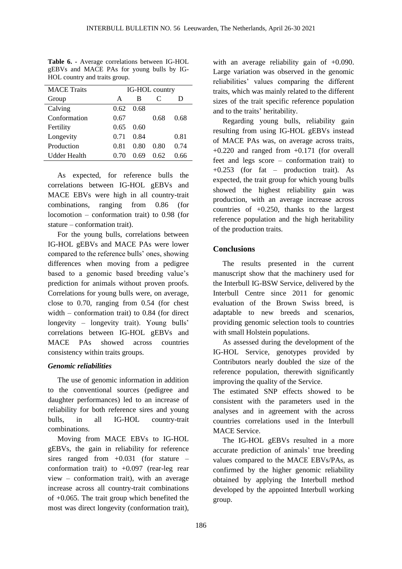| <b>MACE</b> Traits | IG-HOL country |       |      |      |
|--------------------|----------------|-------|------|------|
| Group              | A              | В     | C    |      |
| Calving            | 0.62           | 0.68  |      |      |
| Conformation       | 0.67           |       | 0.68 | 0.68 |
| Fertility          | 0.65           | 0.60  |      |      |
| Longevity          | 0.71           | 0.84  |      | 0.81 |
| Production         | 0.81           | 0.80  | 0.80 | 0.74 |
| Udder Health       |                | () 69 | 0.62 | በ 66 |

**Table 6. -** Average correlations between IG-HOL gEBVs and MACE PAs for young bulls by IG-HOL country and traits group.

As expected, for reference bulls the correlations between IG-HOL gEBVs and MACE EBVs were high in all country-trait combinations, ranging from 0.86 (for locomotion – conformation trait) to 0.98 (for stature – conformation trait).

For the young bulls, correlations between IG-HOL gEBVs and MACE PAs were lower compared to the reference bulls' ones, showing differences when moving from a pedigree based to a genomic based breeding value's prediction for animals without proven proofs. Correlations for young bulls were, on average, close to 0.70, ranging from 0.54 (for chest width – conformation trait) to 0.84 (for direct longevity – longevity trait). Young bulls' correlations between IG-HOL gEBVs and MACE PAs showed across countries consistency within traits groups.

## *Genomic reliabilities*

The use of genomic information in addition to the conventional sources (pedigree and daughter performances) led to an increase of reliability for both reference sires and young bulls, in all IG-HOL country-trait combinations.

Moving from MACE EBVs to IG-HOL gEBVs, the gain in reliability for reference sires ranged from  $+0.031$  (for stature – conformation trait) to +0.097 (rear-leg rear view – conformation trait), with an average increase across all country-trait combinations of +0.065. The trait group which benefited the most was direct longevity (conformation trait),

with an average reliability gain of  $+0.090$ . Large variation was observed in the genomic reliabilities' values comparing the different traits, which was mainly related to the different sizes of the trait specific reference population and to the traits' heritability.

Regarding young bulls, reliability gain resulting from using IG-HOL gEBVs instead of MACE PAs was, on average across traits,  $+0.220$  and ranged from  $+0.171$  (for overall feet and legs score – conformation trait) to +0.253 (for fat – production trait). As expected, the trait group for which young bulls showed the highest reliability gain was production, with an average increase across countries of +0.250, thanks to the largest reference population and the high heritability of the production traits.

# **Conclusions**

The results presented in the current manuscript show that the machinery used for the Interbull IG-BSW Service, delivered by the Interbull Centre since 2011 for genomic evaluation of the Brown Swiss breed, is adaptable to new breeds and scenarios, providing genomic selection tools to countries with small Holstein populations.

As assessed during the development of the IG-HOL Service, genotypes provided by Contributors nearly doubled the size of the reference population, therewith significantly improving the quality of the Service.

The estimated SNP effects showed to be consistent with the parameters used in the analyses and in agreement with the across countries correlations used in the Interbull MACE Service.

The IG-HOL gEBVs resulted in a more accurate prediction of animals' true breeding values compared to the MACE EBVs/PAs, as confirmed by the higher genomic reliability obtained by applying the Interbull method developed by the appointed Interbull working group.